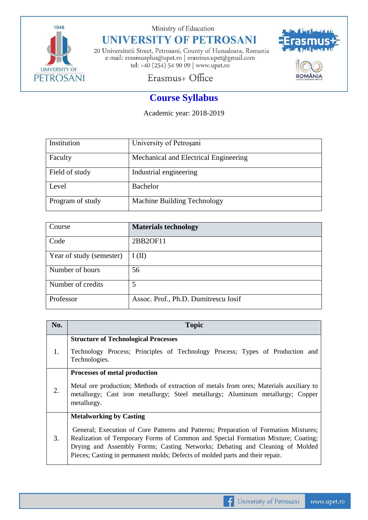

Ministry of Education

## **UNIVERSITY OF PETROSANI**

20 Universitatii Street, Petrosani, County of Hunedoara, Romania e-mail: erasmusplus@upet.ro $\vert$ erasmus.upet@gmail.com tel: +40 (254) 54 90 09 | www.upet.ro



## Erasmus+ Office

## **Course Syllabus**

Academic year: 2018-2019

| Institution      | University of Petroșani               |
|------------------|---------------------------------------|
| Faculty          | Mechanical and Electrical Engineering |
| Field of study   | Industrial engineering                |
| Level            | Bachelor                              |
| Program of study | Machine Building Technology           |

| Course                   | <b>Materials technology</b>          |
|--------------------------|--------------------------------------|
| Code                     | 2BB2OF11                             |
| Year of study (semester) | I(II)                                |
| Number of hours          | 56                                   |
| Number of credits        | 5                                    |
| Professor                | Assoc. Prof., Ph.D. Dumitrescu Iosif |

| No. | <b>Topic</b>                                                                                                                                                                                                                                                                                                                                                                |
|-----|-----------------------------------------------------------------------------------------------------------------------------------------------------------------------------------------------------------------------------------------------------------------------------------------------------------------------------------------------------------------------------|
| 1.  | <b>Structure of Technological Processes</b><br>Technology Process; Principles of Technology Process; Types of Production and<br>Technologies.                                                                                                                                                                                                                               |
| 2.  | <b>Processes of metal production</b><br>Metal ore production; Methods of extraction of metals from ores; Materials auxiliary to<br>metallurgy; Cast iron metallurgy; Steel metallurgy; Aluminum metallurgy; Copper<br>metallurgy.                                                                                                                                           |
| 3.  | <b>Metalworking by Casting</b><br>General; Execution of Core Patterns and Patterns; Preparation of Formation Mixtures;<br>Realization of Temporary Forms of Common and Special Formation Mixture; Coating;<br>Drying and Assembly Forms; Casting Networks; Debating and Cleaning of Molded<br>Pieces; Casting in permanent molds; Defects of molded parts and their repair. |